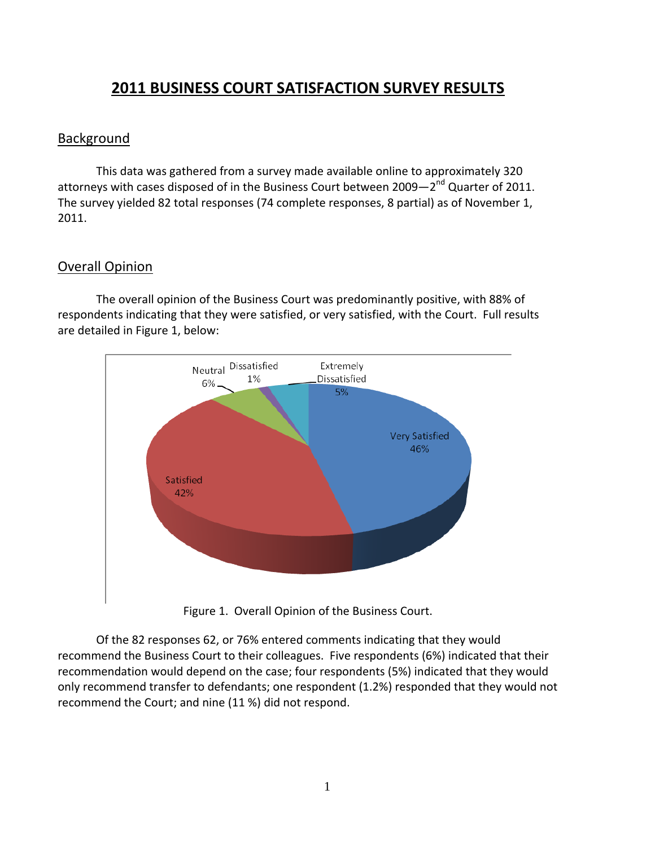# **2011 BUSINESS COURT SATISFACTION SURVEY RESULTS**

#### **Background**

This data was gathered from a survey made available online to approximately 320 attorneys with cases disposed of in the Business Court between 2009-2<sup>nd</sup> Quarter of 2011. The survey yielded 82 total responses (74 complete responses, 8 partial) as of November 1, 2011.

# Overall Opinion

The overall opinion of the Business Court was predominantly positive, with 88% of respondents indicating that they were satisfied, or very satisfied, with the Court. Full results are detailed in Figure 1, below:



Figure 1. Overall Opinion of the Business Court.

Of the 82 responses 62, or 76% entered comments indicating that they would recommend the Business Court to their colleagues. Five respondents (6%) indicated that their recommendation would depend on the case; four respondents (5%) indicated that they would only recommend transfer to defendants; one respondent (1.2%) responded that they would not recommend the Court; and nine (11 %) did not respond.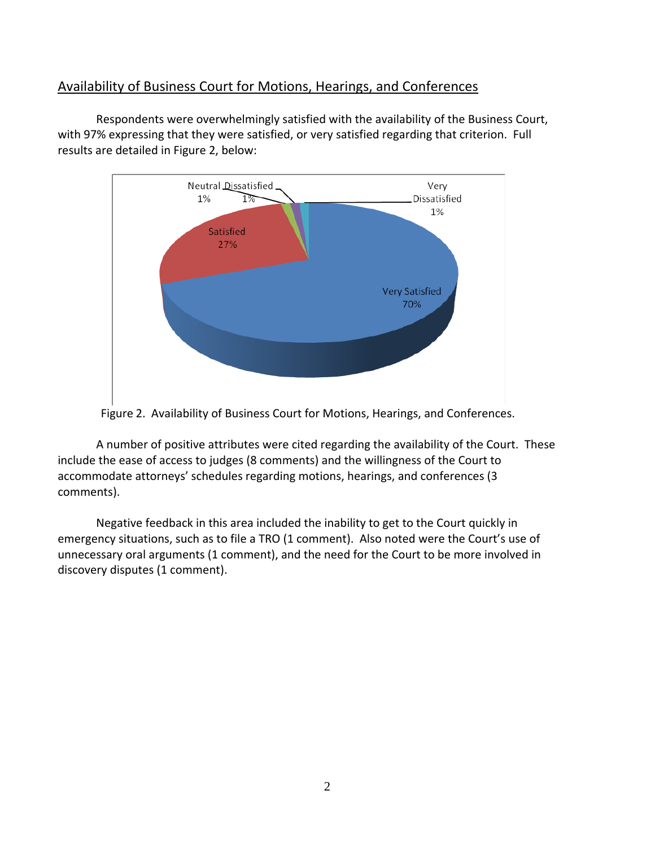### Availability of Business Court for Motions, Hearings, and Conferences

Respondents were overwhelmingly satisfied with the availability of the Business Court, with 97% expressing that they were satisfied, or very satisfied regarding that criterion. Full results are detailed in Figure 2, below:



Figure 2. Availability of Business Court for Motions, Hearings, and Conferences.

A number of positive attributes were cited regarding the availability of the Court. These include the ease of access to judges (8 comments) and the willingness of the Court to accommodate attorneys' schedules regarding motions, hearings, and conferences (3 comments).

Negative feedback in this area included the inability to get to the Court quickly in emergency situations, such as to file a TRO (1 comment). Also noted were the Court's use of unnecessary oral arguments (1 comment), and the need for the Court to be more involved in discovery disputes (1 comment).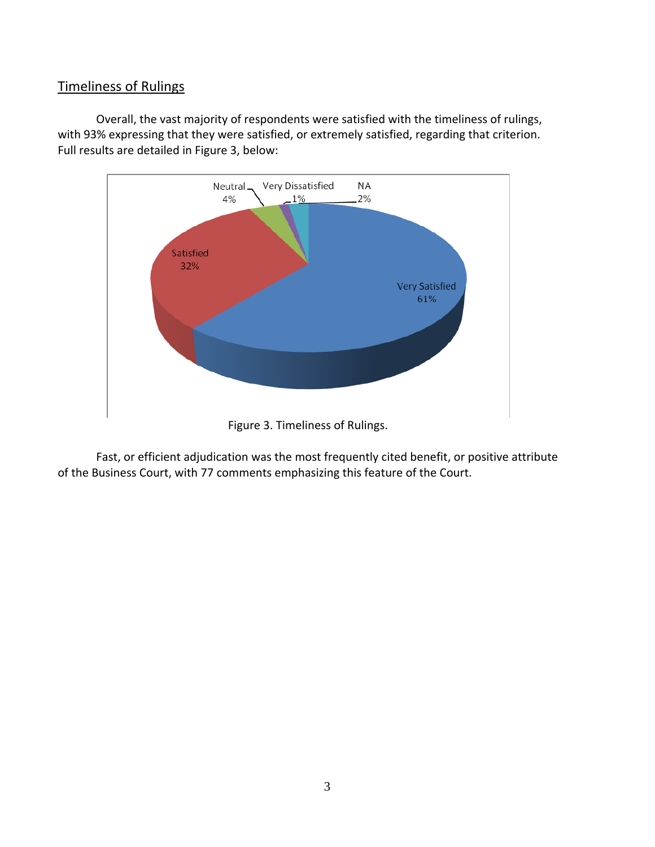# Timeliness of Rulings

Overall, the vast majority of respondents were satisfied with the timeliness of rulings, with 93% expressing that they were satisfied, or extremely satisfied, regarding that criterion. Full results are detailed in Figure 3, below:



Figure 3. Timeliness of Rulings.

Fast, or efficient adjudication was the most frequently cited benefit, or positive attribute of the Business Court, with 77 comments emphasizing this feature of the Court.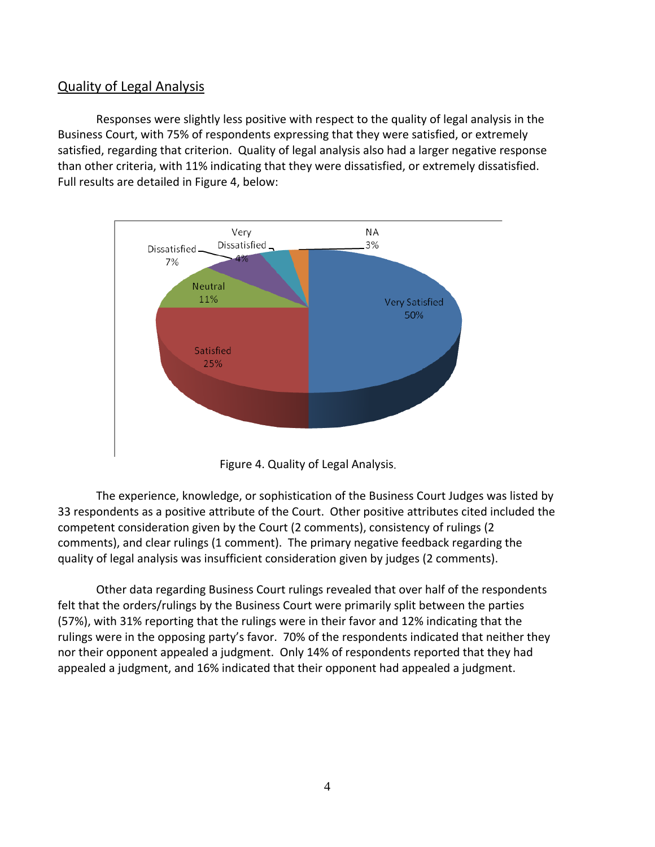#### Quality of Legal Analysis

Responses were slightly less positive with respect to the quality of legal analysis in the Business Court, with 75% of respondents expressing that they were satisfied, or extremely satisfied, regarding that criterion. Quality of legal analysis also had a larger negative response than other criteria, with 11% indicating that they were dissatisfied, or extremely dissatisfied. Full results are detailed in Figure 4, below:



Figure 4. Quality of Legal Analysis.

The experience, knowledge, or sophistication of the Business Court Judges was listed by 33 respondents as a positive attribute of the Court. Other positive attributes cited included the competent consideration given by the Court (2 comments), consistency of rulings (2 comments), and clear rulings (1 comment). The primary negative feedback regarding the quality of legal analysis was insufficient consideration given by judges (2 comments).

Other data regarding Business Court rulings revealed that over half of the respondents felt that the orders/rulings by the Business Court were primarily split between the parties (57%), with 31% reporting that the rulings were in their favor and 12% indicating that the rulings were in the opposing party's favor. 70% of the respondents indicated that neither they nor their opponent appealed a judgment. Only 14% of respondents reported that they had appealed a judgment, and 16% indicated that their opponent had appealed a judgment.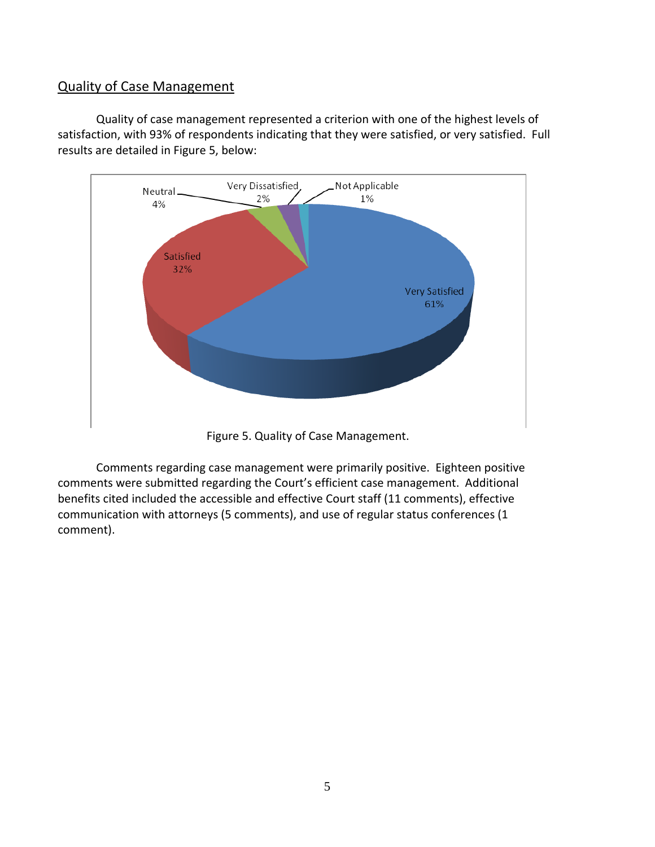#### Quality of Case Management

Quality of case management represented a criterion with one of the highest levels of satisfaction, with 93% of respondents indicating that they were satisfied, or very satisfied. Full results are detailed in Figure 5, below:



Figure 5. Quality of Case Management.

Comments regarding case management were primarily positive. Eighteen positive comments were submitted regarding the Court's efficient case management. Additional benefits cited included the accessible and effective Court staff (11 comments), effective communication with attorneys (5 comments), and use of regular status conferences (1 comment).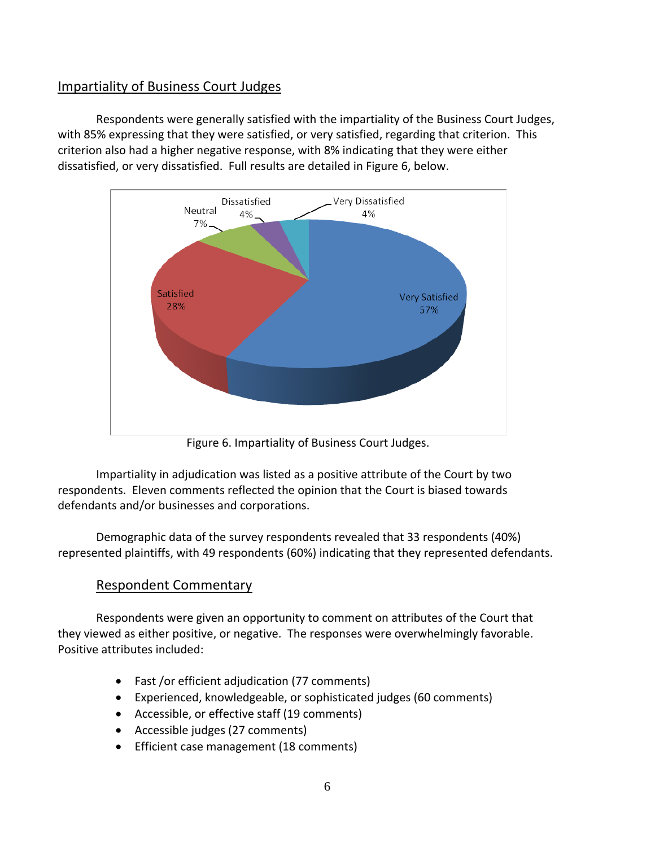# Impartiality of Business Court Judges

Respondents were generally satisfied with the impartiality of the Business Court Judges, with 85% expressing that they were satisfied, or very satisfied, regarding that criterion. This criterion also had a higher negative response, with 8% indicating that they were either dissatisfied, or very dissatisfied. Full results are detailed in Figure 6, below.



Figure 6. Impartiality of Business Court Judges.

Impartiality in adjudication was listed as a positive attribute of the Court by two respondents. Eleven comments reflected the opinion that the Court is biased towards defendants and/or businesses and corporations.

Demographic data of the survey respondents revealed that 33 respondents (40%) represented plaintiffs, with 49 respondents (60%) indicating that they represented defendants.

# Respondent Commentary

Respondents were given an opportunity to comment on attributes of the Court that they viewed as either positive, or negative. The responses were overwhelmingly favorable. Positive attributes included:

- Fast /or efficient adjudication (77 comments)
- Experienced, knowledgeable, or sophisticated judges (60 comments)
- Accessible, or effective staff (19 comments)
- Accessible judges (27 comments)
- Efficient case management (18 comments)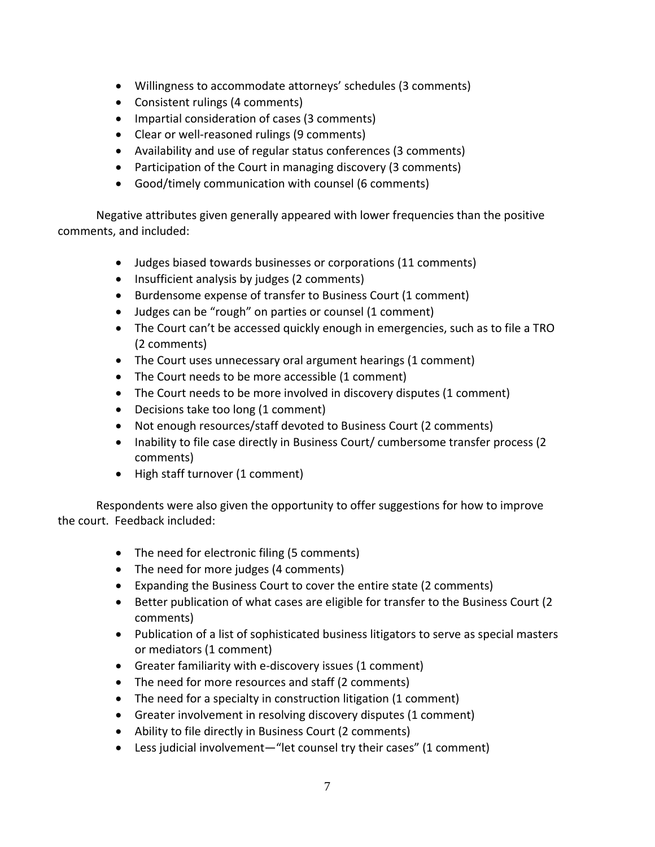- Willingness to accommodate attorneys' schedules (3 comments)
- Consistent rulings (4 comments)
- Impartial consideration of cases (3 comments)
- Clear or well-reasoned rulings (9 comments)
- Availability and use of regular status conferences (3 comments)
- Participation of the Court in managing discovery (3 comments)
- Good/timely communication with counsel (6 comments)

Negative attributes given generally appeared with lower frequencies than the positive comments, and included:

- Judges biased towards businesses or corporations (11 comments)
- Insufficient analysis by judges (2 comments)
- Burdensome expense of transfer to Business Court (1 comment)
- Judges can be "rough" on parties or counsel (1 comment)
- The Court can't be accessed quickly enough in emergencies, such as to file a TRO (2 comments)
- The Court uses unnecessary oral argument hearings (1 comment)
- The Court needs to be more accessible (1 comment)
- The Court needs to be more involved in discovery disputes (1 comment)
- Decisions take too long (1 comment)
- Not enough resources/staff devoted to Business Court (2 comments)
- Inability to file case directly in Business Court/ cumbersome transfer process (2) comments)
- High staff turnover (1 comment)

Respondents were also given the opportunity to offer suggestions for how to improve the court. Feedback included:

- The need for electronic filing (5 comments)
- The need for more judges (4 comments)
- Expanding the Business Court to cover the entire state (2 comments)
- Better publication of what cases are eligible for transfer to the Business Court (2 comments)
- Publication of a list of sophisticated business litigators to serve as special masters or mediators (1 comment)
- Greater familiarity with e-discovery issues (1 comment)
- The need for more resources and staff (2 comments)
- The need for a specialty in construction litigation (1 comment)
- Greater involvement in resolving discovery disputes (1 comment)
- Ability to file directly in Business Court (2 comments)
- Less judicial involvement—"let counsel try their cases" (1 comment)